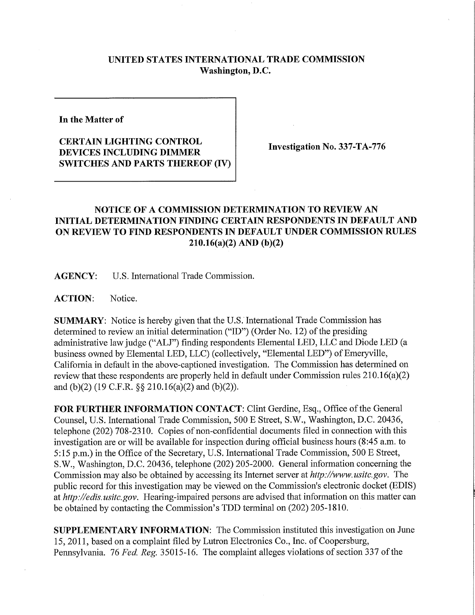## **UNITED STATES INTERNATIONAL TRADE COMMISSION Washington, D.C.**

**In the Matter of** 

## **CERTAIN LIGHTING CONTROL DEVICES INCLUDING DIMMER SWITCHES AND PARTS THEREOF (IV)**

**Investigation No. 337-TA-776** 

## **NOTICE OF A COMMISSION DETERMINATION TO REVIEW AN INITIAL DETERMINATION FINDING CERTAIN RESPONDENTS IN DEFAULT AND ON REVIEW TO FIND RESPONDENTS IN DEFAULT UNDER COMMISSION RULES 210.16(a)(2) AND (b)(2)**

**AGENCY:** U.S. International Trade Commission.

**ACTION:** Notice.

**SUMMARY:** Notice is hereby given that the U.S. International Trade Commission has determined to review an initial determination ("ID") (Order No. 12) of the presiding administrative law judge ("ALJ") finding respondents Elemental LED, LLC and Diode LED (a business owned by Elemental LED, LLC) (collectively, "Elemental LED") of Emeryville, California in default in the above-captioned investigation. The Commission has determined on review that these respondents are properly held in default under Commission rules 210.16(a)(2) and (b)(2) (19 C.F.R. §§ 210.16(a)(2) and (b)(2)).

**FOR FURTHER INFORMATION CONTACT:** Clint Gerdine, Esq., Office of the General Counsel, U.S. International Trade Commission, 500 E Street, S.W., Washington, D.C. 20436, telephone (202) 708-2310. Copies of non-confidential documents filed in connection with this investigation are or will be available for inspection during official business hours (8:45 a.m. to 5:15 p.m.) in the Office of the Secretary, U.S. International Trade Commission, 500 E Street, S.W., Washington, D.C. 20436, telephone (202) 205-2000. General information concerning the Commission may also be obtained by accessing its Internet server at *http://www.usitc.gov.* The public record for this investigation may be viewed on the Commission's electronic docket (EDIS) at *http://edis. usitc.gov.* Hearing-impaired persons are advised that information on this matter can be obtained by contacting the Commission's TDD terminal on (202) 205-1810.

**SUPPLEMENTARY INFORMATION:** The Commission instituted this investigation on June 15, 2011, based on a complaint filed by Lutron Electronics Co., Inc. of Coopersburg, Pennsylvania. 76 *Fed. Reg.* 35015-16. The complaint alleges violations of section 337 of the